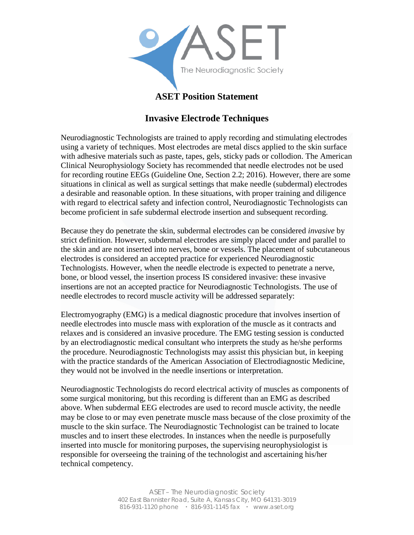

## **ASET Position Statement**

## **Invasive Electrode Techniques**

Neurodiagnostic Technologists are trained to apply recording and stimulating electrodes using a variety of techniques. Most electrodes are metal discs applied to the skin surface with adhesive materials such as paste, tapes, gels, sticky pads or collodion. The American Clinical Neurophysiology Society has recommended that needle electrodes not be used for recording routine EEGs (Guideline One, Section 2.2; 2016). However, there are some situations in clinical as well as surgical settings that make needle (subdermal) electrodes a desirable and reasonable option. In these situations, with proper training and diligence with regard to electrical safety and infection control, Neurodiagnostic Technologists can become proficient in safe subdermal electrode insertion and subsequent recording.

Because they do penetrate the skin, subdermal electrodes can be considered *invasive* by strict definition. However, subdermal electrodes are simply placed under and parallel to the skin and are not inserted into nerves, bone or vessels. The placement of subcutaneous electrodes is considered an accepted practice for experienced Neurodiagnostic Technologists. However, when the needle electrode is expected to penetrate a nerve, bone, or blood vessel, the insertion process IS considered invasive: these invasive insertions are not an accepted practice for Neurodiagnostic Technologists. The use of needle electrodes to record muscle activity will be addressed separately:

Electromyography (EMG) is a medical diagnostic procedure that involves insertion of needle electrodes into muscle mass with exploration of the muscle as it contracts and relaxes and is considered an invasive procedure. The EMG testing session is conducted by an electrodiagnostic medical consultant who interprets the study as he/she performs the procedure. Neurodiagnostic Technologists may assist this physician but, in keeping with the practice standards of the American Association of Electrodiagnostic Medicine, they would not be involved in the needle insertions or interpretation.

Neurodiagnostic Technologists do record electrical activity of muscles as components of some surgical monitoring, but this recording is different than an EMG as described above. When subdermal EEG electrodes are used to record muscle activity, the needle may be close to or may even penetrate muscle mass because of the close proximity of the muscle to the skin surface. The Neurodiagnostic Technologist can be trained to locate muscles and to insert these electrodes. In instances when the needle is purposefully inserted into muscle for monitoring purposes, the supervising neurophysiologist is responsible for overseeing the training of the technologist and ascertaining his/her technical competency.